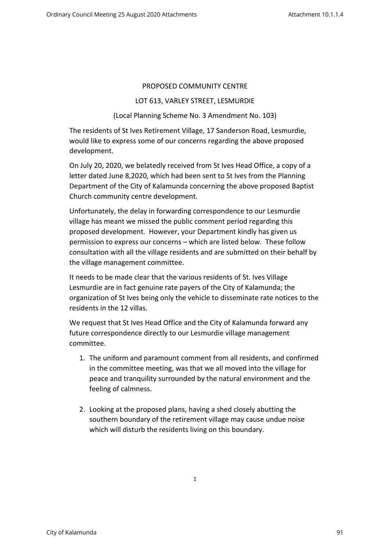## PROPOSED COMMUNITY CENTRE

## LOT 613, VARLEY STREET, LESMURDIE

## (Local Planning Scheme No. 3 Amendment No. 103)

The residents of St Ives Retirement Village, 17 Sanderson Road, Lesmurdie, would like to express some of our concerns regarding the above proposed development.

On July 20, 2020, we belatedly received from St Ives Head Office, a copy of a letter dated June 8,2020, which had been sent to St Ives from the Planning Department of the City of Kalamunda concerning the above proposed Baptist Church community centre development.

Unfortunately, the delay in forwarding correspondence to our Lesmurdie village has meant we missed the public comment period regarding this proposed development. However, your Department kindly has given us permission to express our concerns – which are listed below. These follow consultation with all the village residents and are submitted on their behalf by the village management committee.

It needs to be made clear that the various residents of St. Ives Village Lesmurdie are in fact genuine rate payers of the City of Kalamunda; the organization of St Ives being only the vehicle to disseminate rate notices to the residents in the 12 villas.

We request that St Ives Head Office and the City of Kalamunda forward any future correspondence directly to our Lesmurdie village management committee.

- 1. The uniform and paramount comment from all residents, and confirmed in the committee meeting, was that we all moved into the village for peace and tranquility surrounded by the natural environment and the feeling of calmness.
- 2. Looking at the proposed plans, having a shed closely abutting the southern boundary of the retirement village may cause undue noise which will disturb the residents living on this boundary.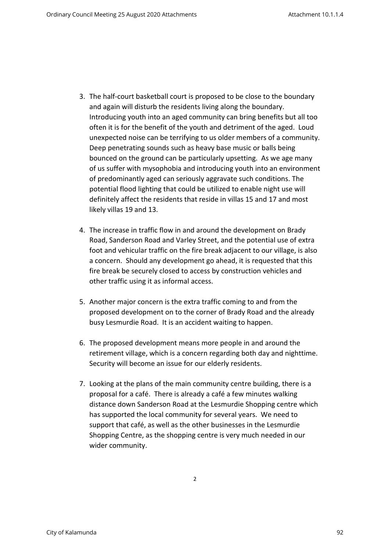- 3. The half-court basketball court is proposed to be close to the boundary and again will disturb the residents living along the boundary. Introducing youth into an aged community can bring benefits but all too often it is for the benefit of the youth and detriment of the aged. Loud unexpected noise can be terrifying to us older members of a community. Deep penetrating sounds such as heavy base music or balls being bounced on the ground can be particularly upsetting. As we age many of us suffer with mysophobia and introducing youth into an environment of predominantly aged can seriously aggravate such conditions. The potential flood lighting that could be utilized to enable night use will definitely affect the residents that reside in villas 15 and 17 and most likely villas 19 and 13.
- 4. The increase in traffic flow in and around the development on Brady Road, Sanderson Road and Varley Street, and the potential use of extra foot and vehicular traffic on the fire break adjacent to our village, is also a concern. Should any development go ahead, it is requested that this fire break be securely closed to access by construction vehicles and other traffic using it as informal access.
- 5. Another major concern is the extra traffic coming to and from the proposed development on to the corner of Brady Road and the already busy Lesmurdie Road. It is an accident waiting to happen.
- 6. The proposed development means more people in and around the retirement village, which is a concern regarding both day and nighttime. Security will become an issue for our elderly residents.
- 7. Looking at the plans of the main community centre building, there is a proposal for a café. There is already a café a few minutes walking distance down Sanderson Road at the Lesmurdie Shopping centre which has supported the local community for several years. We need to support that café, as well as the other businesses in the Lesmurdie Shopping Centre, as the shopping centre is very much needed in our wider community.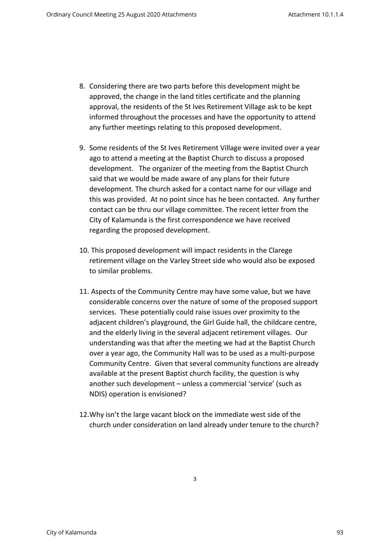- 8. Considering there are two parts before this development might be approved, the change in the land titles certificate and the planning approval, the residents of the St Ives Retirement Village ask to be kept informed throughout the processes and have the opportunity to attend any further meetings relating to this proposed development.
- 9. Some residents of the St Ives Retirement Village were invited over a year ago to attend a meeting at the Baptist Church to discuss a proposed development. The organizer of the meeting from the Baptist Church said that we would be made aware of any plans for their future development. The church asked for a contact name for our village and this was provided. At no point since has he been contacted. Any further contact can be thru our village committee. The recent letter from the City of Kalamunda is the first correspondence we have received regarding the proposed development.
- 10. This proposed development will impact residents in the Clarege retirement village on the Varley Street side who would also be exposed to similar problems.
- 11. Aspects of the Community Centre may have some value, but we have considerable concerns over the nature of some of the proposed support services. These potentially could raise issues over proximity to the adjacent children's playground, the Girl Guide hall, the childcare centre, and the elderly living in the several adjacent retirement villages. Our understanding was that after the meeting we had at the Baptist Church over a year ago, the Community Hall was to be used as a multi-purpose Community Centre. Given that several community functions are already available at the present Baptist church facility, the question is why another such development – unless a commercial 'service' (such as NDIS) operation is envisioned?
- 12.Why isn't the large vacant block on the immediate west side of the church under consideration on land already under tenure to the church?